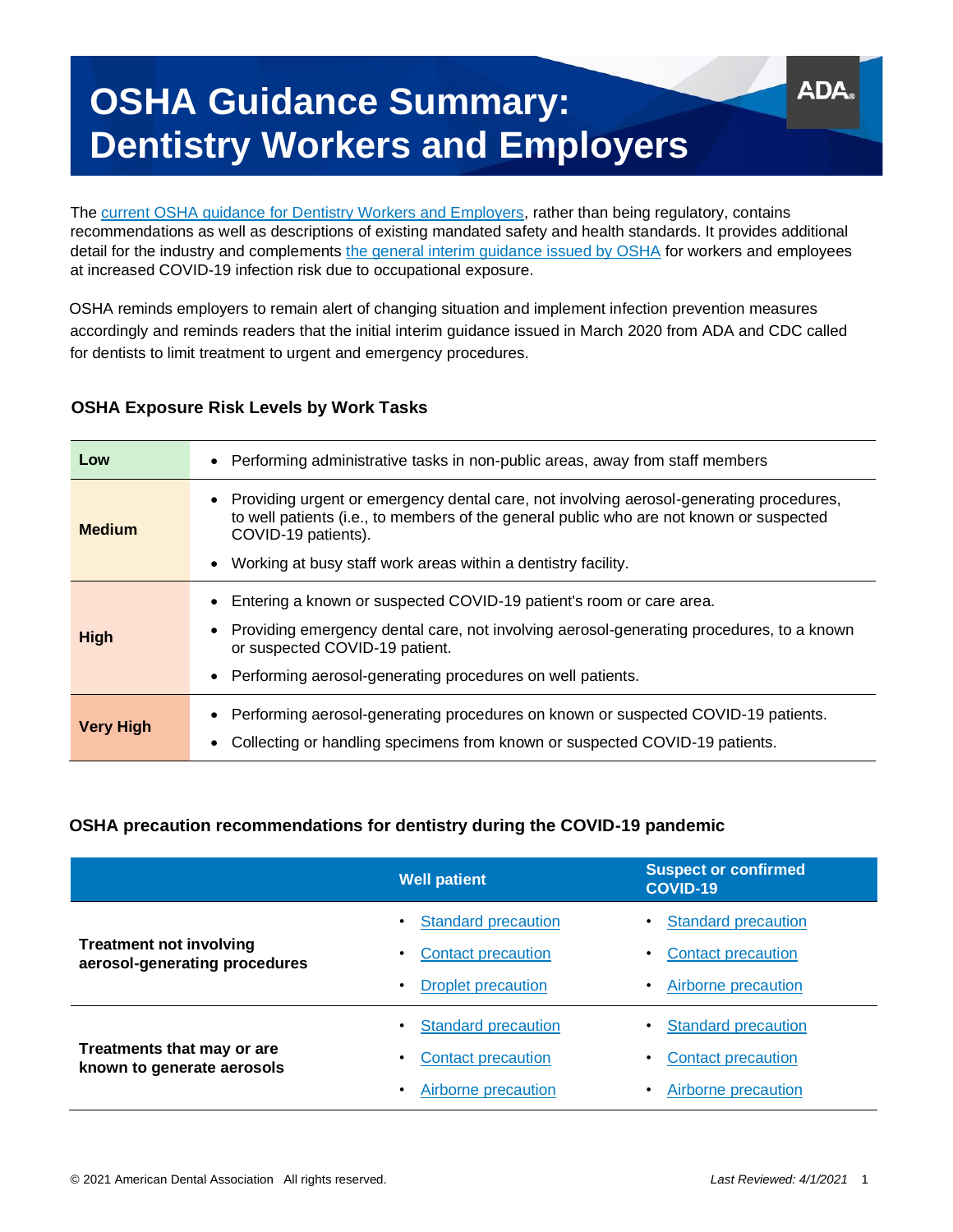# **OSHA Guidance Summary: Dentistry Workers and Employers**

The [current OSHA guidance for Dentistry Workers and Employers,](https://www.osha.gov/SLTC/covid-19/dentistry.html) rather than being regulatory, contains recommendations as well as descriptions of existing mandated safety and health standards. It provides additional detail for the industry and complements [the general interim guidance issued by OSHA](https://www.osha.gov/SLTC/covid-19/controlprevention.html#interim_increased_risk) [f](https://www.osha.gov/SLTC/covid-19/controlprevention.html#interim_increased_risk)or workers and employees at increased COVID-19 infection risk due to occupational exposure.

OSHA reminds employers to remain alert of changing situation and implement infection prevention measures accordingly and reminds readers that the initial interim guidance issued in March 2020 from ADA and CDC called for dentists to limit treatment to urgent and emergency procedures.

#### **OSHA Exposure Risk Levels by Work Tasks**

| Low              | • Performing administrative tasks in non-public areas, away from staff members                                                                                                                                                                                                              |
|------------------|---------------------------------------------------------------------------------------------------------------------------------------------------------------------------------------------------------------------------------------------------------------------------------------------|
| <b>Medium</b>    | • Providing urgent or emergency dental care, not involving aerosol-generating procedures,<br>to well patients (i.e., to members of the general public who are not known or suspected<br>COVID-19 patients).<br>Working at busy staff work areas within a dentistry facility.<br>$\bullet$   |
| <b>High</b>      | Entering a known or suspected COVID-19 patient's room or care area.<br>$\bullet$<br>Providing emergency dental care, not involving aerosol-generating procedures, to a known<br>$\bullet$<br>or suspected COVID-19 patient.<br>• Performing aerosol-generating procedures on well patients. |
| <b>Very High</b> | Performing aerosol-generating procedures on known or suspected COVID-19 patients.<br>$\bullet$<br>Collecting or handling specimens from known or suspected COVID-19 patients.<br>$\bullet$                                                                                                  |

### **OSHA precaution recommendations for dentistry during the COVID-19 pandemic**

|                                                                 | <b>Well patient</b>        | <b>Suspect or confirmed</b><br><b>COVID-19</b> |
|-----------------------------------------------------------------|----------------------------|------------------------------------------------|
|                                                                 | <b>Standard precaution</b> | Standard precaution<br>٠                       |
| <b>Treatment not involving</b><br>aerosol-generating procedures | <b>Contact precaution</b>  | <b>Contact precaution</b><br>٠                 |
|                                                                 | <b>Droplet precaution</b>  | Airborne precaution<br>$\bullet$               |
|                                                                 | <b>Standard precaution</b> | <b>Standard precaution</b><br>٠                |
| Treatments that may or are<br>known to generate aerosols        | <b>Contact precaution</b>  | <b>Contact precaution</b><br>$\bullet$         |
|                                                                 | Airborne precaution        | Airborne precaution<br>٠                       |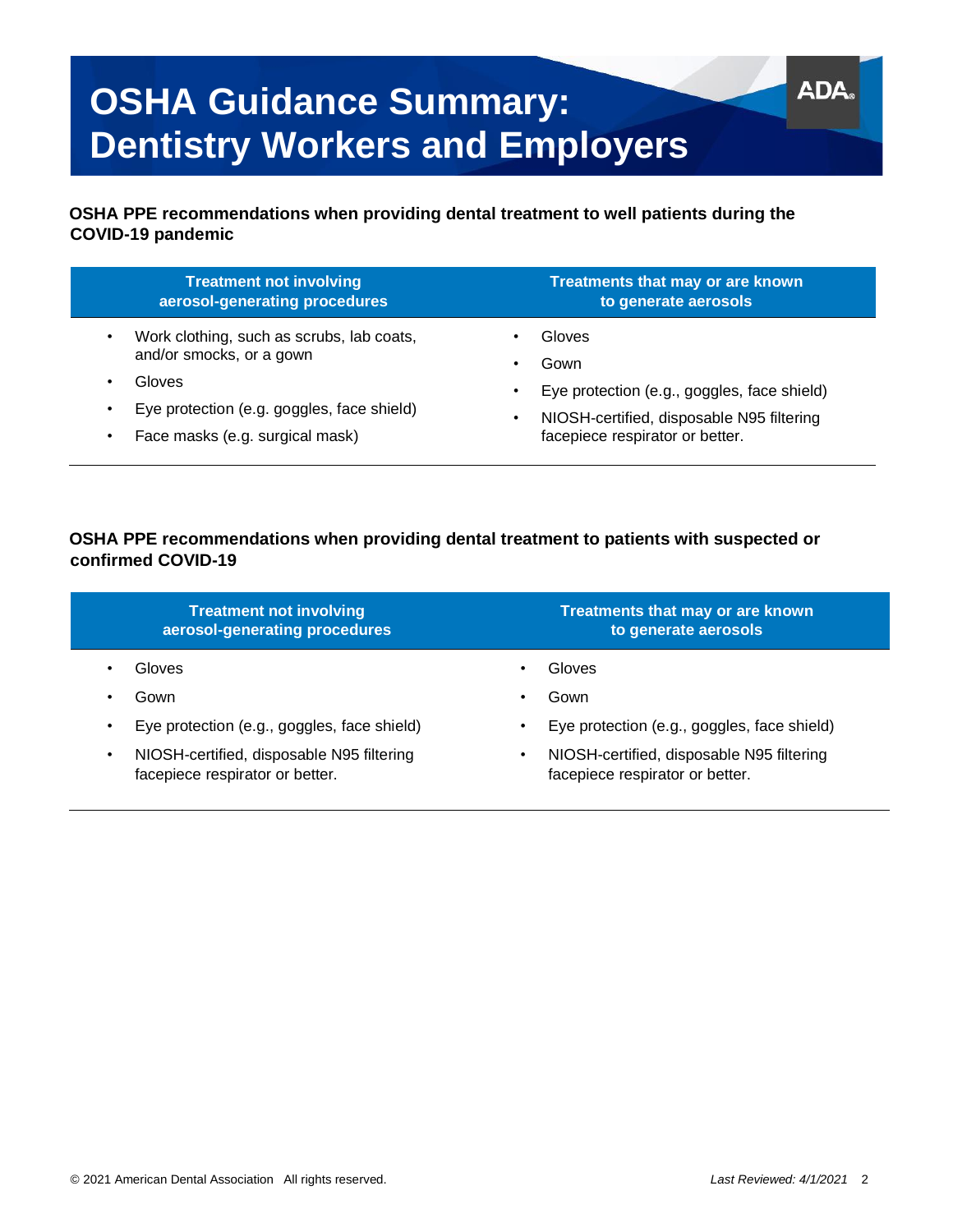# **OSHA Guidance Summary: Dentistry Workers and Employers**

**OSHA PPE recommendations when providing dental treatment to well patients during the COVID-19 pandemic** 

| <b>Treatment not involving</b>             | <b>Treatments that may or are known</b>     |
|--------------------------------------------|---------------------------------------------|
| aerosol-generating procedures              | to generate aerosols                        |
| Work clothing, such as scrubs, lab coats,  | Gloves                                      |
| $\bullet$                                  | Gown                                        |
| and/or smocks, or a gown                   | Eye protection (e.g., goggles, face shield) |
| Gloves                                     | ٠                                           |
| Eye protection (e.g. goggles, face shield) | NIOSH-certified, disposable N95 filtering   |
| $\bullet$                                  | $\bullet$                                   |
| Face masks (e.g. surgical mask)            | facepiece respirator or better.             |

### **OSHA PPE recommendations when providing dental treatment to patients with suspected or confirmed COVID-19**

| <b>Treatment not involving</b>              | <b>Treatments that may or are known</b>     |
|---------------------------------------------|---------------------------------------------|
| aerosol-generating procedures               | to generate aerosols                        |
| Gloves<br>٠                                 | Gloves                                      |
| Gown<br>٠                                   | Gown                                        |
| Eye protection (e.g., goggles, face shield) | Eye protection (e.g., goggles, face shield) |
| ٠                                           | ٠                                           |
| NIOSH-certified, disposable N95 filtering   | NIOSH-certified, disposable N95 filtering   |
| $\bullet$                                   | $\bullet$                                   |
| facepiece respirator or better.             | facepiece respirator or better.             |

**ADA**